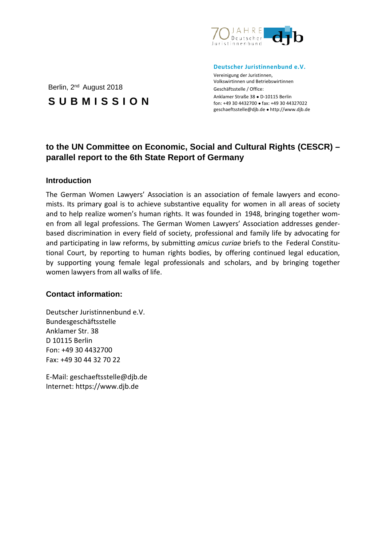

#### **Deutscher Juristinnenbund e.V.**

Vereinigung der Juristinnen, Volkswirtinnen und Betriebswirtinnen Geschäftsstelle / Office: Anklamer Straße 38 ● D-10115 Berlin fon: +49 30 4432700 ● fax: +49 30 44327022 [geschaeftsstelle@djb.de](mailto:geschaeftsstelle@djb.de) ● http://www.djb.de

# **to the UN Committee on Economic, Social and Cultural Rights (CESCR) – parallel report to the 6th State Report of Germany**

#### **Introduction**

The German Women Lawyers' Association is an association of female lawyers and economists. Its primary goal is to achieve substantive equality for women in all areas of society and to help realize women's human rights. It was founded in 1948, bringing together women from all legal professions. The German Women Lawyers' Association addresses genderbased discrimination in every field of society, professional and family life by advocating for and participating in law reforms, by submitting *amicus curiae* briefs to the Federal Constitutional Court, by reporting to human rights bodies, by offering continued legal education, by supporting young female legal professionals and scholars, and by bringing together women lawyers from all walks of life.

### **Contact information:**

Deutscher Juristinnenbund e.V. Bundesgeschäftsstelle Anklamer Str. 38 D 10115 Berlin Fon: +49 30 4432700 Fax: +49 30 44 32 70 22

E-Mail: [geschaeftsstelle@djb.de](mailto:geschaeftsstelle@djb.de) Internet: https://www.djb.de

## Berlin, 2<sup>nd</sup> August 2018

**SUBMISSION**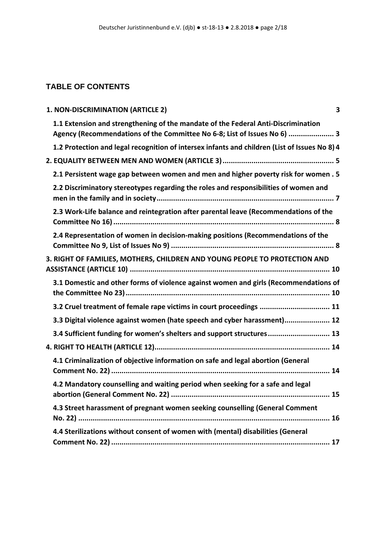## **TABLE OF CONTENTS**

|  | 1. NON-DISCRIMINATION (ARTICLE 2)                                                                                                                             | 3 |
|--|---------------------------------------------------------------------------------------------------------------------------------------------------------------|---|
|  | 1.1 Extension and strengthening of the mandate of the Federal Anti-Discrimination<br>Agency (Recommendations of the Committee No 6-8; List of Issues No 6)  3 |   |
|  | 1.2 Protection and legal recognition of intersex infants and children (List of Issues No 8) 4                                                                 |   |
|  |                                                                                                                                                               |   |
|  | 2.1 Persistent wage gap between women and men and higher poverty risk for women . 5                                                                           |   |
|  | 2.2 Discriminatory stereotypes regarding the roles and responsibilities of women and                                                                          |   |
|  | 2.3 Work-Life balance and reintegration after parental leave (Recommendations of the                                                                          |   |
|  | 2.4 Representation of women in decision-making positions (Recommendations of the                                                                              |   |
|  | 3. RIGHT OF FAMILIES, MOTHERS, CHILDREN AND YOUNG PEOPLE TO PROTECTION AND                                                                                    |   |
|  | 3.1 Domestic and other forms of violence against women and girls (Recommendations of                                                                          |   |
|  | 3.2 Cruel treatment of female rape victims in court proceedings  11                                                                                           |   |
|  | 3.3 Digital violence against women (hate speech and cyber harassment) 12                                                                                      |   |
|  | 3.4 Sufficient funding for women's shelters and support structures 13                                                                                         |   |
|  |                                                                                                                                                               |   |
|  | 4.1 Criminalization of objective information on safe and legal abortion (General                                                                              |   |
|  | 4.2 Mandatory counselling and waiting period when seeking for a safe and legal                                                                                |   |
|  | 4.3 Street harassment of pregnant women seeking counselling (General Comment                                                                                  |   |
|  | 4.4 Sterilizations without consent of women with (mental) disabilities (General                                                                               |   |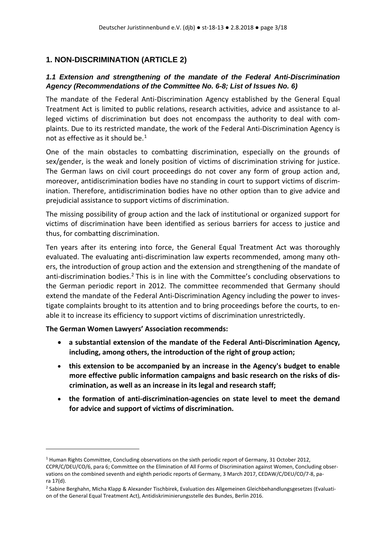## <span id="page-2-0"></span>**1. NON-DISCRIMINATION (ARTICLE 2)**

### <span id="page-2-1"></span>*1.1 Extension and strengthening of the mandate of the Federal Anti-Discrimination Agency (Recommendations of the Committee No. 6-8; List of Issues No. 6)*

The mandate of the Federal Anti-Discrimination Agency established by the General Equal Treatment Act is limited to public relations, research activities, advice and assistance to alleged victims of discrimination but does not encompass the authority to deal with complaints. Due to its restricted mandate, the work of the Federal Anti-Discrimination Agency is not as effective as it should be.<sup>[1](#page-2-2)</sup>

One of the main obstacles to combatting discrimination, especially on the grounds of sex/gender, is the weak and lonely position of victims of discrimination striving for justice. The German laws on civil court proceedings do not cover any form of group action and, moreover, antidiscrimination bodies have no standing in court to support victims of discrimination. Therefore, antidiscrimination bodies have no other option than to give advice and prejudicial assistance to support victims of discrimination.

The missing possibility of group action and the lack of institutional or organized support for victims of discrimination have been identified as serious barriers for access to justice and thus, for combatting discrimination.

Ten years after its entering into force, the General Equal Treatment Act was thoroughly evaluated. The evaluating anti-discrimination law experts recommended, among many others, the introduction of group action and the extension and strengthening of the mandate of anti-discrimination bodies.<sup>[2](#page-2-3)</sup> This is in line with the Committee's concluding observations to the German periodic report in 2012. The committee recommended that Germany should extend the mandate of the Federal Anti-Discrimination Agency including the power to investigate complaints brought to its attention and to bring proceedings before the courts, to enable it to increase its efficiency to support victims of discrimination unrestrictedly.

**The German Women Lawyers' Association recommends:**

- **a substantial extension of the mandate of the Federal Anti-Discrimination Agency, including, among others, the introduction of the right of group action;**
- **this extension to be accompanied by an increase in the Agency's budget to enable more effective public information campaigns and basic research on the risks of discrimination, as well as an increase in its legal and research staff;**
- **the formation of anti-discrimination-agencies on state level to meet the demand for advice and support of victims of discrimination.**

<span id="page-2-2"></span><sup>&</sup>lt;sup>1</sup> Human Rights Committee, Concluding observations on the sixth periodic report of Germany, 31 October 2012,

CCPR/C/DEU/CO/6, para 6; Committee on the Elimination of All Forms of Discrimination against Women, Concluding observations on the combined seventh and eighth periodic reports of Germany, 3 March 2017, CEDAW/C/DEU/CO/7-8, para 17(d).

<span id="page-2-3"></span><sup>&</sup>lt;sup>2</sup> Sabine Berghahn, Micha Klapp & Alexander Tischbirek, Evaluation des Allgemeinen Gleichbehandlungsgesetzes (Evaluation of the General Equal Treatment Act), Antidiskriminierungsstelle des Bundes, Berlin 2016.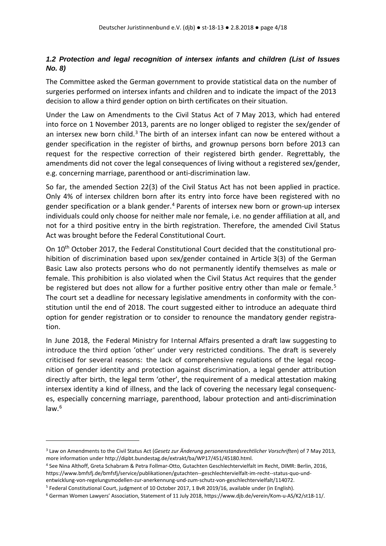### <span id="page-3-0"></span>*1.2 Protection and legal recognition of intersex infants and children (List of Issues No. 8)*

The Committee asked the German government to provide statistical data on the number of surgeries performed on intersex infants and children and to indicate the impact of the 2013 decision to allow a third gender option on birth certificates on their situation.

Under the Law on Amendments to the Civil Status Act of 7 May 2013, which had entered into force on 1 November 2013, parents are no longer obliged to register the sex/gender of an intersex new born child.<sup>[3](#page-3-1)</sup> The birth of an intersex infant can now be entered without a gender specification in the register of births, and grownup persons born before 2013 can request for the respective correction of their registered birth gender. Regrettably, the amendments did not cover the legal consequences of living without a registered sex/gender, e.g. concerning marriage, parenthood or anti-discrimination law.

So far, the amended Section 22(3) of the Civil Status Act has not been applied in practice. Only 4% of intersex children born after its entry into force have been registered with no gender specification or a blank gender.<sup>[4](#page-3-2)</sup> Parents of intersex new born or grown-up intersex individuals could only choose for neither male nor female, i.e. no gender affiliation at all, and not for a third positive entry in the birth registration. Therefore, the amended Civil Status Act was brought before the Federal Constitutional Court.

On 10th October 2017, the Federal Constitutional Court decided that the constitutional prohibition of discrimination based upon sex/gender contained in Article 3(3) of the German Basic Law also protects persons who do not permanently identify themselves as male or female. This prohibition is also violated when the Civil Status Act requires that the gender be registered but does not allow for a further positive entry other than male or female.<sup>[5](#page-3-3)</sup> The court set a deadline for necessary legislative amendments in conformity with the constitution until the end of 2018. The court suggested either to introduce an adequate third option for gender registration or to consider to renounce the mandatory gender registration.

In June 2018, the Federal Ministry for Internal Affairs presented a draft law suggesting to introduce the third option 'other' under very restricted conditions. The draft is severely criticised for several reasons: the lack of comprehensive regulations of the legal recognition of gender identity and protection against discrimination, a legal gender attribution directly after birth, the legal term 'other', the requirement of a medical attestation making intersex identity a kind of illness, and the lack of covering the necessary legal consequences, especially concerning marriage, parenthood, labour protection and anti-discrimination law.[6](#page-3-4)

<span id="page-3-1"></span><sup>3</sup> Law on Amendments to the Civil Status Act (*Gesetz zur Änderung personenstandsrechtlicher Vorschriften*) of 7 May 2013, more information under [http://dipbt.bundestag.de/extrakt/ba/WP17/451/45180.html.](http://dipbt.bundestag.de/extrakt/ba/WP17/451/45180.html)

<span id="page-3-2"></span><sup>4</sup> See Nina Althoff, Greta Schabram & Petra Follmar-Otto, Gutachten Geschlechtervielfalt im Recht, DIMR: Berlin, 2016, [https://www.bmfsfj.de/bmfsfj/service/publikationen/gutachten--geschlechtervielfalt-im-recht--status-quo-und](https://www.bmfsfj.de/bmfsfj/service/publikationen/gutachten--geschlechtervielfalt-im-recht--status-quo-und-entwicklung-von-regelungsmodellen-zur-anerkennung-und-zum-schutz-von-geschlechtervielfalt/114072)[entwicklung-von-regelungsmodellen-zur-anerkennung-und-zum-schutz-von-geschlechtervielfalt/114072.](https://www.bmfsfj.de/bmfsfj/service/publikationen/gutachten--geschlechtervielfalt-im-recht--status-quo-und-entwicklung-von-regelungsmodellen-zur-anerkennung-und-zum-schutz-von-geschlechtervielfalt/114072)

<span id="page-3-3"></span><sup>5</sup> Federal Constitutional Court, judgment of 10 October 2017, 1 BvR 2019/16, available under (in English).

<span id="page-3-4"></span><sup>6</sup> German Women Lawyers' Association, Statement of 11 July 2018[, https://www.djb.de/verein/Kom-u-AS/K2/st18-11/.](https://www.djb.de/verein/Kom-u-AS/K2/st18-11/)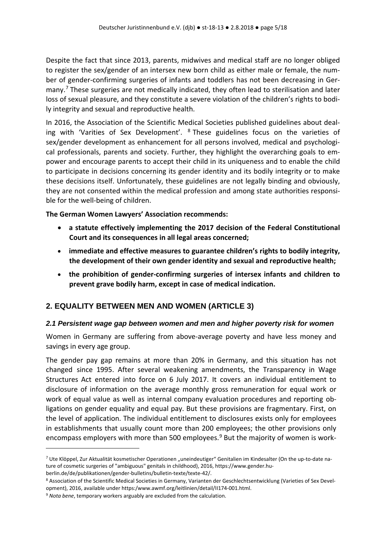Despite the fact that since 2013, parents, midwives and medical staff are no longer obliged to register the sex/gender of an intersex new born child as either male or female, the number of gender-confirming surgeries of infants and toddlers has not been decreasing in Ger-many.<sup>[7](#page-4-2)</sup> These surgeries are not medically indicated, they often lead to sterilisation and later loss of sexual pleasure, and they constitute a severe violation of the children's rights to bodily integrity and sexual and reproductive health.

In 2016, the Association of the Scientific Medical Societies published guidelines about dealing with 'Varities of Sex Development'.  $8$  These guidelines focus on the varieties of sex/gender development as enhancement for all persons involved, medical and psychological professionals, parents and society. Further, they highlight the overarching goals to empower and encourage parents to accept their child in its uniqueness and to enable the child to participate in decisions concerning its gender identity and its bodily integrity or to make these decisions itself. Unfortunately, these guidelines are not legally binding and obviously, they are not consented within the medical profession and among state authorities responsible for the well-being of children.

**The German Women Lawyers' Association recommends:**

- **a statute effectively implementing the 2017 decision of the Federal Constitutional Court and its consequences in all legal areas concerned;**
- **immediate and effective measures to guarantee children's rights to bodily integrity, the development of their own gender identity and sexual and reproductive health;**
- **the prohibition of gender-confirming surgeries of intersex infants and children to prevent grave bodily harm, except in case of medical indication.**

### <span id="page-4-0"></span>**2. EQUALITY BETWEEN MEN AND WOMEN (ARTICLE 3)**

### <span id="page-4-1"></span>*2.1 Persistent wage gap between women and men and higher poverty risk for women*

Women in Germany are suffering from above-average poverty and have less money and savings in every age group.

The gender pay gap remains at more than 20% in Germany, and this situation has not changed since 1995. After several weakening amendments, the Transparency in Wage Structures Act entered into force on 6 July 2017. It covers an individual entitlement to disclosure of information on the average monthly gross remuneration for equal work or work of equal value as well as internal company evaluation procedures and reporting obligations on gender equality and equal pay. But these provisions are fragmentary. First, on the level of application. The individual entitlement to disclosures exists only for employees in establishments that usually count more than 200 employees; the other provisions only encompass employers with more than 500 employees. $9$  But the majority of women is work-

<span id="page-4-2"></span><sup>&</sup>lt;sup>7</sup> Ute Klöppel, Zur Aktualität kosmetischer Operationen "uneindeutiger" Genitalien im Kindesalter (On the up-to-date nature of cosmetic surgeries of "ambiguous" genitals in childhood), 2016[, https://www.gender.hu](https://www.gender.hu-berlin.de/de/publikationen/gender-bulletins/bulletin-texte/texte-42/)[berlin.de/de/publikationen/gender-bulletins/bulletin-texte/texte-42/.](https://www.gender.hu-berlin.de/de/publikationen/gender-bulletins/bulletin-texte/texte-42/)

<span id="page-4-3"></span><sup>8</sup> Association of the Scientific Medical Societies in Germany, Varianten der Geschlechtsentwicklung (Varieties of Sex Development), 2016, available under https:/www.awmf.org/leitlinien/detail/II174-001.html.

<span id="page-4-4"></span><sup>9</sup> *Nota bene*, temporary workers arguably are excluded from the calculation.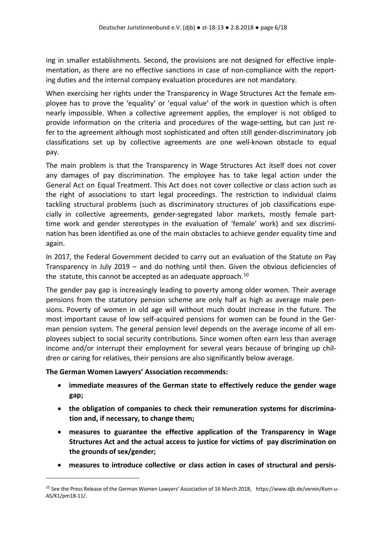ing in smaller establishments. Second, the provisions are not designed for effective implementation, as there are no effective sanctions in case of non-compliance with the reporting duties and the internal company evaluation procedures are not mandatory.

When exercising her rights under the Transparency in Wage Structures Act the female employee has to prove the 'equality' or 'equal value' of the work in question which is often nearly impossible. When a collective agreement applies, the employer is not obliged to provide information on the criteria and procedures of the wage-setting, but can just refer to the agreement although most sophisticated and often still gender-discriminatory job classifications set up by collective agreements are one well-known obstacle to equal pay.

The main problem is that the Transparency in Wage Structures Act itself does not cover any damages of pay discrimination. The employee has to take legal action under the General Act on Equal Treatment. This Act does not cover collective or class action such as the right of associations to start legal proceedings. The restriction to individual claims tackling structural problems (such as discriminatory structures of job classifications especially in collective agreements, gender-segregated labor markets, mostly female parttime work and gender stereotypes in the evaluation of 'female' work) and sex discrimination has been identified as one of the main obstacles to achieve gender equality time and again.

In 2017, the Federal Government decided to carry out an evaluation of the Statute on Pay Transparency in July 2019 – and do nothing until then. Given the obvious deficiencies of the statute, this cannot be accepted as an adequate approach.<sup>[10](#page-5-0)</sup>

The gender pay gap is increasingly leading to poverty among older women. Their average pensions from the statutory pension scheme are only half as high as average male pensions. Poverty of women in old age will without much doubt increase in the future. The most important cause of low self-acquired pensions for women can be found in the German pension system. The general pension level depends on the average income of all employees subject to social security contributions. Since women often earn less than average income and/or interrupt their employment for several years because of bringing up children or caring for relatives, their pensions are also significantly below average.

#### **The German Women Lawyers' Association recommends:**

- **immediate measures of the German state to effectively reduce the gender wage gap;**
- **the obligation of companies to check their remuneration systems for discrimination and, if necessary, to change them;**
- **measures to guarantee the effective application of the Transparency in Wage Structures Act and the actual access to justice for victims of pay discrimination on the grounds of sex/gender;**
- **measures to introduce collective or class action in cases of structural and persis-**

<span id="page-5-0"></span><sup>10</sup> See the Press Release of the German Women Lawyers' Association of 16 March 2018, [https://www.djb.de/verein/Kom-u-](https://www.djb.de/verein/Kom-u-AS/K1/pm18-11/)[AS/K1/pm18-11/.](https://www.djb.de/verein/Kom-u-AS/K1/pm18-11/)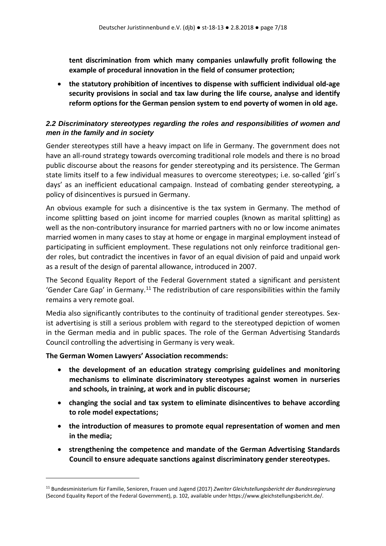**tent discrimination from which many companies unlawfully profit following the example of procedural innovation in the field of consumer protection;**

• **the statutory prohibition of incentives to dispense with sufficient individual old-age security provisions in social and tax law during the life course, analyse and identify reform options for the German pension system to end poverty of women in old age.** 

### <span id="page-6-0"></span>*2.2 Discriminatory stereotypes regarding the roles and responsibilities of women and men in the family and in society*

Gender stereotypes still have a heavy impact on life in Germany. The government does not have an all-round strategy towards overcoming traditional role models and there is no broad public discourse about the reasons for gender stereotyping and its persistence. The German state limits itself to a few individual measures to overcome stereotypes; i.e. so-called 'girl´s days' as an inefficient educational campaign. Instead of combating gender stereotyping, a policy of disincentives is pursued in Germany.

An obvious example for such a disincentive is the tax system in Germany. The method of income splitting based on joint income for married couples (known as marital splitting) as well as the non-contributory insurance for married partners with no or low income animates married women in many cases to stay at home or engage in marginal employment instead of participating in sufficient employment. These regulations not only reinforce traditional gender roles, but contradict the incentives in favor of an equal division of paid and unpaid work as a result of the design of parental allowance, introduced in 2007.

The Second Equality Report of the Federal Government stated a significant and persistent 'Gender Care Gap' in Germany.<sup>[11](#page-6-1)</sup> The redistribution of care responsibilities within the family remains a very remote goal.

Media also significantly contributes to the continuity of traditional gender stereotypes. Sexist advertising is still a serious problem with regard to the stereotyped depiction of women in the German media and in public spaces. The role of the German Advertising Standards Council controlling the advertising in Germany is very weak.

#### **The German Women Lawyers' Association recommends:**

- **the development of an education strategy comprising guidelines and monitoring mechanisms to eliminate discriminatory stereotypes against women in nurseries and schools, in training, at work and in public discourse;**
- **changing the social and tax system to eliminate disincentives to behave according to role model expectations;**
- **the introduction of measures to promote equal representation of women and men in the media;**
- **strengthening the competence and mandate of the German Advertising Standards Council to ensure adequate sanctions against discriminatory gender stereotypes.**

<span id="page-6-1"></span><sup>11</sup> Bundesministerium für Familie, Senioren, Frauen und Jugend (2017) *Zweiter Gleichstellungsbericht der Bundesregierung* (Second Equality Report of the Federal Government), p. 102, available unde[r https://www.gleichstellungsbericht.de/.](https://www.gleichstellungsbericht.de/)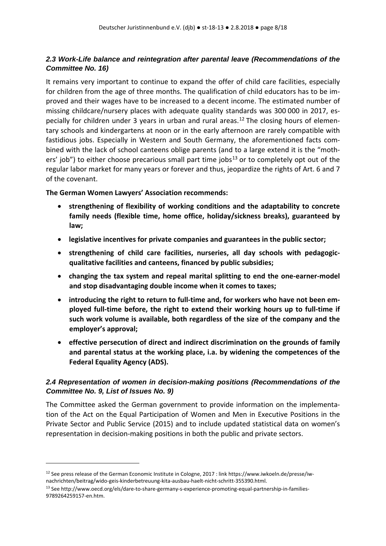### <span id="page-7-0"></span>*2.3 Work-Life balance and reintegration after parental leave (Recommendations of the Committee No. 16)*

It remains very important to continue to expand the offer of child care facilities, especially for children from the age of three months. The qualification of child educators has to be improved and their wages have to be increased to a decent income. The estimated number of missing childcare/nursery places with adequate quality standards was 300 000 in 2017, es-pecially for children under 3 years in urban and rural areas.<sup>[12](#page-7-2)</sup> The closing hours of elementary schools and kindergartens at noon or in the early afternoon are rarely compatible with fastidious jobs. Especially in Western and South Germany, the aforementioned facts combined with the lack of school canteens oblige parents (and to a large extend it is the "moth-ers' job") to either choose precarious small part time jobs<sup>[13](#page-7-3)</sup> or to completely opt out of the regular labor market for many years or forever and thus, jeopardize the rights of Art. 6 and 7 of the covenant.

#### **The German Women Lawyers' Association recommends:**

- **strengthening of flexibility of working conditions and the adaptability to concrete family needs (flexible time, home office, holiday/sickness breaks), guaranteed by law;**
- **legislative incentives for private companies and guarantees in the public sector;**
- **strengthening of child care facilities, nurseries, all day schools with pedagogicqualitative facilities and canteens, financed by public subsidies;**
- **changing the tax system and repeal marital splitting to end the one-earner-model and stop disadvantaging double income when it comes to taxes;**
- **introducing the right to return to full-time and, for workers who have not been employed full-time before, the right to extend their working hours up to full-time if such work volume is available, both regardless of the size of the company and the employer's approval;**
- **effective persecution of direct and indirect discrimination on the grounds of family and parental status at the working place, i.a. by widening the competences of the Federal Equality Agency (ADS).**

### <span id="page-7-1"></span>*2.4 Representation of women in decision-making positions (Recommendations of the Committee No. 9, List of Issues No. 9)*

The Committee asked the German government to provide information on the implementation of the Act on the Equal Participation of Women and Men in Executive Positions in the Private Sector and Public Service (2015) and to include updated statistical data on women's representation in decision-making positions in both the public and private sectors.

<span id="page-7-2"></span><sup>&</sup>lt;sup>12</sup> See press release of the German Economic Institute in Cologne, 2017 : lin[k https://www.iwkoeln.de/presse/iw](https://www.iwkoeln.de/presse/iw-nachrichten/beitrag/wido-geis-kinderbetreuung-kita-ausbau-haelt-nicht-schritt-355390.html)[nachrichten/beitrag/wido-geis-kinderbetreuung-kita-ausbau-haelt-nicht-schritt-355390.html.](https://www.iwkoeln.de/presse/iw-nachrichten/beitrag/wido-geis-kinderbetreuung-kita-ausbau-haelt-nicht-schritt-355390.html)

<span id="page-7-3"></span><sup>&</sup>lt;sup>13</sup> Se[e http://www.oecd.org/els/dare-to-share-germany-s-experience-promoting-equal-partnership-in-families-](http://www.oecd.org/els/dare-to-share-germany-s-experience-promoting-equal-partnership-in-families-9789264259157-en.htm)[9789264259157-en.htm.](http://www.oecd.org/els/dare-to-share-germany-s-experience-promoting-equal-partnership-in-families-9789264259157-en.htm)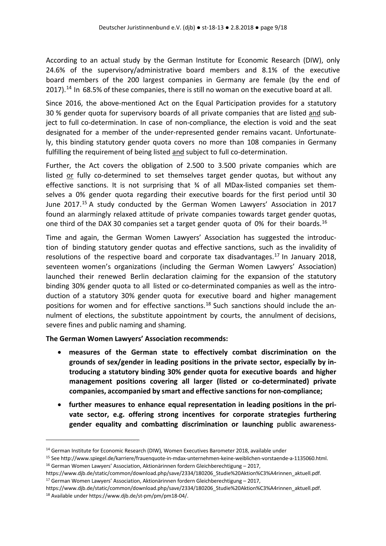According to an actual study by the German Institute for Economic Research (DIW), only 24.6% of the supervisory/administrative board members and 8.1% of the executive board members of the 200 largest companies in Germany are female (by the end of 2017).<sup>[14](#page-8-0)</sup> In 68.5% of these companies, there is still no woman on the executive board at all.

Since 2016, the above-mentioned Act on the Equal Participation provides for a statutory 30 % gender quota for supervisory boards of all private companies that are listed and subject to full co-determination. In case of non-compliance, the election is void and the seat designated for a member of the under-represented gender remains vacant. Unfortunately, this binding statutory gender quota covers no more than 108 companies in Germany fulfilling the requirement of being listed and subject to full co-determination.

Further, the Act covers the obligation of 2.500 to 3.500 private companies which are listed or fully co-determined to set themselves target gender quotas, but without any effective sanctions. It is not surprising that ¾ of all MDax-listed companies set themselves a 0% gender quota regarding their executive boards for the first period until 30 June 2017.[15](#page-8-1) A study conducted by the German Women Lawyers' Association in 2017 found an alarmingly relaxed attitude of private companies towards target gender quotas, one third of the DAX 30 companies set a target gender quota of 0% for their boards.<sup>[16](#page-8-2)</sup>

Time and again, the German Women Lawyers' Association has suggested the introduction of binding statutory gender quotas and effective sanctions, such as the invalidity of resolutions of the respective board and corporate tax disadvantages.<sup>[17](#page-8-3)</sup> In January 2018, seventeen women's organizations (including the German Women Lawyers' Association) launched their renewed Berlin declaration claiming for the expansion of the statutory binding 30% gender quota to all listed or co-determinated companies as well as the introduction of a statutory 30% gender quota for executive board and higher management positions for women and for effective sanctions.<sup>[18](#page-8-4)</sup> Such sanctions should include the annulment of elections, the substitute appointment by courts, the annulment of decisions, severe fines and public naming and shaming.

**The German Women Lawyers' Association recommends:**

- **measures of the German state to effectively combat discrimination on the grounds of sex/gender in leading positions in the private sector, especially by introducing a statutory binding 30% gender quota for executive boards and higher management positions covering all larger (listed or co-determinated) private companies, accompanied by smart and effective sanctions for non-compliance;**
- **further measures to enhance equal representation in leading positions in the private sector, e.g. offering strong incentives for corporate strategies furthering gender equality and combatting discrimination or launching public awareness-**

https://www.djb.de/static/common/download.php/save/2334/180206\_Studie%20Aktion%C3%A4rinnen\_aktuell.pdf.<br><sup>18</sup> Available under https://www.djb.de/st-pm/pm/pm18-04/.

<span id="page-8-0"></span><sup>&</sup>lt;sup>14</sup> German Institute for Economic Research (DIW), Women Executives Barometer 2018, available under

<span id="page-8-1"></span><sup>&</sup>lt;sup>15</sup> See [http://www.spiegel.de/karriere/frauenquote-in-mdax-unternehmen-keine-weiblichen-vorstaende-a-1135060.html.](http://www.spiegel.de/karriere/frauenquote-in-mdax-unternehmen-keine-weiblichen-vorstaende-a-1135060.html)<br><sup>16</sup> German Women Lawyers' Association, Aktionärinnen fordern Gleichberechtigung – 2017,

<span id="page-8-3"></span><span id="page-8-2"></span>[https://www.djb.de/static/common/download.php/save/2334/180206\\_Studie%20Aktion%C3%A4rinnen\\_aktuell.pdf.](https://www.djb.de/static/common/download.php/save/2334/180206_Studie%20Aktion%C3%A4rinnen_aktuell.pdf)  <sup>17</sup> German Women Lawyers' Association, Aktionärinnen fordern Gleichberechtigung – 2017,

<span id="page-8-4"></span>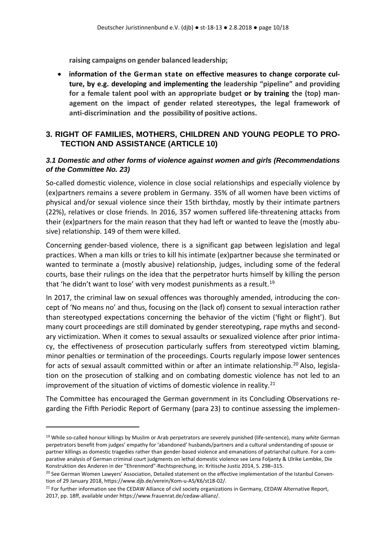**raising campaigns on gender balanced leadership;**

• **information of the German state on effective measures to change corporate culture, by e.g. developing and implementing the leadership "pipeline" and providing for a female talent pool with an appropriate budget or by training the (top) management on the impact of gender related stereotypes, the legal framework of anti-discrimination and the possibility of positive actions.** 

### <span id="page-9-0"></span>**3. RIGHT OF FAMILIES, MOTHERS, CHILDREN AND YOUNG PEOPLE TO PRO-TECTION AND ASSISTANCE (ARTICLE 10)**

### <span id="page-9-1"></span>*3.1 Domestic and other forms of violence against women and girls (Recommendations of the Committee No. 23)*

So-called domestic violence, violence in close social relationships and especially violence by (ex)partners remains a severe problem in Germany. 35% of all women have been victims of physical and/or sexual violence since their 15th birthday, mostly by their intimate partners (22%), relatives or close friends. In 2016, 357 women suffered life-threatening attacks from their (ex)partners for the main reason that they had left or wanted to leave the (mostly abusive) relationship. 149 of them were killed.

Concerning gender-based violence, there is a significant gap between legislation and legal practices. When a man kills or tries to kill his intimate (ex)partner because she terminated or wanted to terminate a (mostly abusive) relationship, judges, including some of the federal courts, base their rulings on the idea that the perpetrator hurts himself by killing the person that 'he didn't want to lose' with very modest punishments as a result.<sup>[19](#page-9-2)</sup>

In 2017, the criminal law on sexual offences was thoroughly amended, introducing the concept of 'No means no' and thus, focusing on the (lack of) consent to sexual interaction rather than stereotyped expectations concerning the behavior of the victim ('fight or flight'). But many court proceedings are still dominated by gender stereotyping, rape myths and secondary victimization. When it comes to sexual assaults or sexualized violence after prior intimacy, the effectiveness of prosecution particularly suffers from stereotyped victim blaming, minor penalties or termination of the proceedings. Courts regularly impose lower sentences for acts of sexual assault committed within or after an intimate relationship.<sup>[20](#page-9-3)</sup> Also, legislation on the prosecution of stalking and on combating domestic violence has not led to an improvement of the situation of victims of domestic violence in reality.<sup>[21](#page-9-4)</sup>

The Committee has encouraged the German government in its Concluding Observations regarding the Fifth Periodic Report of Germany (para 23) to continue assessing the implemen-

<span id="page-9-2"></span><sup>19</sup> While so-called honour killings by Muslim or Arab perpetrators are severely punished (life-sentence), many *white* German perpetrators benefit from judges' empathy for 'abandoned' husbands/partners and a cultural understanding of spouse or partner killings as domestic tragedies rather than gender-based violence and emanations of patriarchal culture. For a comparative analysis of German criminal court judgments on lethal domestic violence see Lena Foljanty & Ulrike Lembke, Die Konstruktion des Anderen in der "Ehrenmord"-Rechtsprechung, in: Kritische Justiz 2014, S. 298–315.

<span id="page-9-3"></span><sup>&</sup>lt;sup>20</sup> See German Women Lawyers' Association, Detailed statement on the effective implementation of the Istanbul Convention of 29 January 2018, https://www.djb.de/verein/Kom-u-AS/K6/st18-02/.

<span id="page-9-4"></span><sup>&</sup>lt;sup>21</sup> For further information see the CEDAW Alliance of civil society organizations in Germany, CEDAW Alternative Report, 2017, pp. 18ff, available under https://www.frauenrat.de/cedaw-allianz/.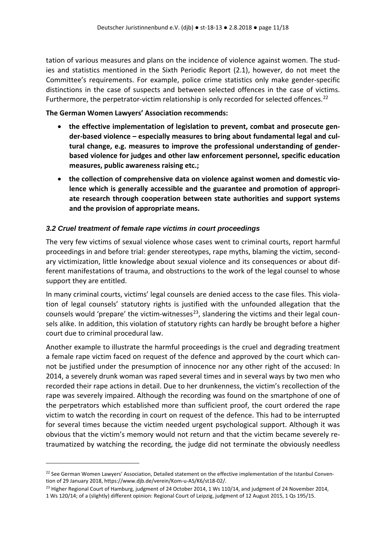tation of various measures and plans on the incidence of violence against women. The studies and statistics mentioned in the Sixth Periodic Report (2.1), however, do not meet the Committee's requirements. For example, police crime statistics only make gender-specific distinctions in the case of suspects and between selected offences in the case of victims. Furthermore, the perpetrator-victim relationship is only recorded for selected offences.<sup>22</sup>

#### **The German Women Lawyers' Association recommends:**

- **the effective implementation of legislation to prevent, combat and prosecute gender-based violence – especially measures to bring about fundamental legal and cultural change, e.g. measures to improve the professional understanding of genderbased violence for judges and other law enforcement personnel, specific education measures, public awareness raising etc.;**
- **the collection of comprehensive data on violence against women and domestic violence which is generally accessible and the guarantee and promotion of appropriate research through cooperation between state authorities and support systems and the provision of appropriate means.**

### <span id="page-10-0"></span>*3.2 Cruel treatment of female rape victims in court proceedings*

The very few victims of sexual violence whose cases went to criminal courts, report harmful proceedings in and before trial: gender stereotypes, rape myths, blaming the victim, secondary victimization, little knowledge about sexual violence and its consequences or about different manifestations of trauma, and obstructions to the work of the legal counsel to whose support they are entitled.

In many criminal courts, victims' legal counsels are denied access to the case files. This violation of legal counsels' statutory rights is justified with the unfounded allegation that the counsels would 'prepare' the victim-witnesses<sup>[23](#page-10-2)</sup>, slandering the victims and their legal counsels alike. In addition, this violation of statutory rights can hardly be brought before a higher court due to criminal procedural law.

Another example to illustrate the harmful proceedings is the cruel and degrading treatment a female rape victim faced on request of the defence and approved by the court which cannot be justified under the presumption of innocence nor any other right of the accused: In 2014, a severely drunk woman was raped several times and in several ways by two men who recorded their rape actions in detail. Due to her drunkenness, the victim's recollection of the rape was severely impaired. Although the recording was found on the smartphone of one of the perpetrators which established more than sufficient proof, the court ordered the rape victim to watch the recording in court on request of the defence. This had to be interrupted for several times because the victim needed urgent psychological support. Although it was obvious that the victim's memory would not return and that the victim became severely retraumatized by watching the recording, the judge did not terminate the obviously needless

<span id="page-10-1"></span><sup>&</sup>lt;sup>22</sup> See German Women Lawyers' Association, Detailed statement on the effective implementation of the Istanbul Convention of 29 January 2018, [https://www.djb.de/verein/Kom-u-AS/K6/st18-02/.](https://www.djb.de/verein/Kom-u-AS/K6/st18-02/)

<span id="page-10-2"></span><sup>&</sup>lt;sup>23</sup> Higher Regional Court of Hamburg, judgment of 24 October 2014, 1 Ws 110/14, and judgment of 24 November 2014, 1 Ws 120/14; of a (slightly) different opinion: Regional Court of Leipzig, judgment of 12 August 2015, 1 Qs 195/15.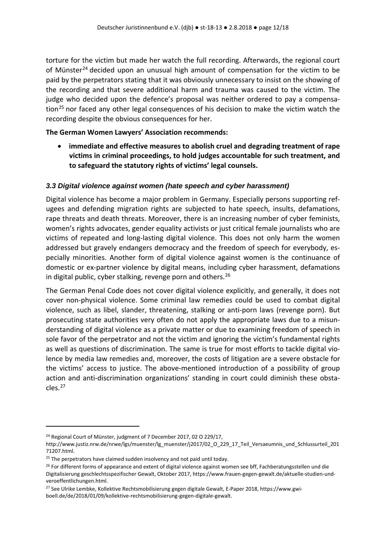torture for the victim but made her watch the full recording. Afterwards, the regional court of Münster<sup>[24](#page-11-1)</sup> decided upon an unusual high amount of compensation for the victim to be paid by the perpetrators stating that it was obviously unnecessary to insist on the showing of the recording and that severe additional harm and trauma was caused to the victim. The judge who decided upon the defence's proposal was neither ordered to pay a compensa-tion<sup>[25](#page-11-2)</sup> nor faced any other legal consequences of his decision to make the victim watch the recording despite the obvious consequences for her.

#### **The German Women Lawyers' Association recommends:**

• **immediate and effective measures to abolish cruel and degrading treatment of rape victims in criminal proceedings, to hold judges accountable for such treatment, and to safeguard the statutory rights of victims' legal counsels.**

### <span id="page-11-0"></span>*3.3 Digital violence against women (hate speech and cyber harassment)*

Digital violence has become a major problem in Germany. Especially persons supporting refugees and defending migration rights are subjected to hate speech, insults, defamations, rape threats and death threats. Moreover, there is an increasing number of cyber feminists, women's rights advocates, gender equality activists or just critical female journalists who are victims of repeated and long-lasting digital violence. This does not only harm the women addressed but gravely endangers democracy and the freedom of speech for everybody, especially minorities. Another form of digital violence against women is the continuance of domestic or ex-partner violence by digital means, including cyber harassment, defamations in digital public, cyber stalking, revenge porn and others.<sup>[26](#page-11-3)</sup>

The German Penal Code does not cover digital violence explicitly, and generally, it does not cover non-physical violence. Some criminal law remedies could be used to combat digital violence, such as libel, slander, threatening, stalking or anti-porn laws (revenge porn). But prosecuting state authorities very often do not apply the appropriate laws due to a misunderstanding of digital violence as a private matter or due to examining freedom of speech in sole favor of the perpetrator and not the victim and ignoring the victim's fundamental rights as well as questions of discrimination. The same is true for most efforts to tackle digital violence by media law remedies and, moreover, the costs of litigation are a severe obstacle for the victims' access to justice. The above-mentioned introduction of a possibility of group action and anti-discrimination organizations' standing in court could diminish these obstacles.[27](#page-11-4)

<span id="page-11-1"></span><sup>&</sup>lt;sup>24</sup> Regional Court of Münster, judgment of 7 December 2017, 02 O 229/17,

[http://www.justiz.nrw.de/nrwe/lgs/muenster/lg\\_muenster/j2017/02\\_O\\_229\\_17\\_Teil\\_Versaeumnis\\_und\\_Schlussurteil\\_201](http://www.justiz.nrw.de/nrwe/lgs/muenster/lg_muenster/j2017/02_O_229_17_Teil_Versaeumnis_und_Schlussurteil_20171207.html)

[<sup>71207.</sup>html.](http://www.justiz.nrw.de/nrwe/lgs/muenster/lg_muenster/j2017/02_O_229_17_Teil_Versaeumnis_und_Schlussurteil_20171207.html)<br> $25$  The perpetrators have claimed sudden insolvency and not paid until today.

<span id="page-11-3"></span><span id="page-11-2"></span><sup>&</sup>lt;sup>26</sup> For different forms of appearance and extent of digital violence against women see bff, Fachberatungsstellen und die Digitalisierung geschlechtsspezifischer Gewalt, Oktober 2017[, https://www.frauen-gegen-gewalt.de/aktuelle-studien-und](https://www.frauen-gegen-gewalt.de/aktuelle-studien-und-veroeffentlichungen.html)[veroeffentlichungen.html.](https://www.frauen-gegen-gewalt.de/aktuelle-studien-und-veroeffentlichungen.html) 

<span id="page-11-4"></span><sup>&</sup>lt;sup>27</sup> See Ulrike Lembke, Kollektive Rechtsmobilisierung gegen digitale Gewalt, E-Paper 2018[, https://www.gwi](https://www.gwi-boell.de/de/2018/01/09/kollektive-rechtsmobilisierung-gegen-digitale-gewalt)[boell.de/de/2018/01/09/kollektive-rechtsmobilisierung-gegen-digitale-gewalt.](https://www.gwi-boell.de/de/2018/01/09/kollektive-rechtsmobilisierung-gegen-digitale-gewalt)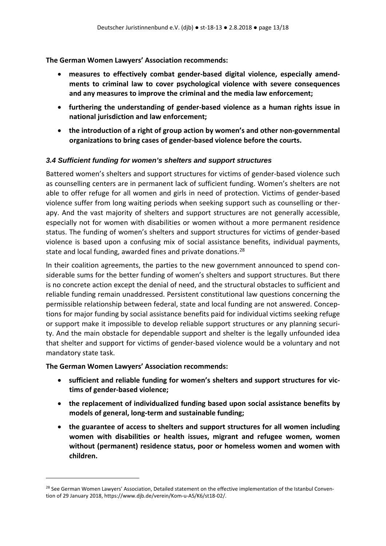- **measures to effectively combat gender-based digital violence, especially amendments to criminal law to cover psychological violence with severe consequences and any measures to improve the criminal and the media law enforcement;**
- **furthering the understanding of gender-based violence as a human rights issue in national jurisdiction and law enforcement;**
- **the introduction of a right of group action by women's and other non-governmental organizations to bring cases of gender-based violence before the courts.**

#### <span id="page-12-0"></span>*3.4 Sufficient funding for women's shelters and support structures*

Battered women's shelters and support structures for victims of gender-based violence such as counselling centers are in permanent lack of sufficient funding. Women's shelters are not able to offer refuge for all women and girls in need of protection. Victims of gender-based violence suffer from long waiting periods when seeking support such as counselling or therapy. And the vast majority of shelters and support structures are not generally accessible, especially not for women with disabilities or women without a more permanent residence status. The funding of women's shelters and support structures for victims of gender-based violence is based upon a confusing mix of social assistance benefits, individual payments, state and local funding, awarded fines and private donations.<sup>[28](#page-12-1)</sup>

In their coalition agreements, the parties to the new government announced to spend considerable sums for the better funding of women's shelters and support structures. But there is no concrete action except the denial of need, and the structural obstacles to sufficient and reliable funding remain unaddressed. Persistent constitutional law questions concerning the permissible relationship between federal, state and local funding are not answered. Conceptions for major funding by social assistance benefits paid for individual victims seeking refuge or support make it impossible to develop reliable support structures or any planning security. And the main obstacle for dependable support and shelter is the legally unfounded idea that shelter and support for victims of gender-based violence would be a voluntary and not mandatory state task.

#### **The German Women Lawyers' Association recommends:**

- **sufficient and reliable funding for women's shelters and support structures for victims of gender-based violence;**
- **the replacement of individualized funding based upon social assistance benefits by models of general, long-term and sustainable funding;**
- **the guarantee of access to shelters and support structures for all women including women with disabilities or health issues, migrant and refugee women, women without (permanent) residence status, poor or homeless women and women with children.**

<span id="page-12-1"></span><sup>&</sup>lt;sup>28</sup> See German Women Lawyers' Association, Detailed statement on the effective implementation of the Istanbul Convention of 29 January 2018, https://www.djb.de/verein/Kom-u-AS/K6/st18-02/.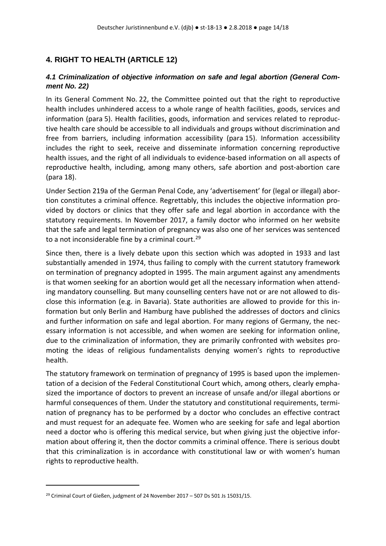## <span id="page-13-0"></span>**4. RIGHT TO HEALTH (ARTICLE 12)**

### <span id="page-13-1"></span>*4.1 Criminalization of objective information on safe and legal abortion (General Comment No. 22)*

In its General Comment No. 22, the Committee pointed out that the right to reproductive health includes unhindered access to a whole range of health facilities, goods, services and information (para 5). Health facilities, goods, information and services related to reproductive health care should be accessible to all individuals and groups without discrimination and free from barriers, including information accessibility (para 15). Information accessibility includes the right to seek, receive and disseminate information concerning reproductive health issues, and the right of all individuals to evidence-based information on all aspects of reproductive health, including, among many others, safe abortion and post-abortion care (para 18).

Under Section 219a of the German Penal Code, any 'advertisement' for (legal or illegal) abortion constitutes a criminal offence. Regrettably, this includes the objective information provided by doctors or clinics that they offer safe and legal abortion in accordance with the statutory requirements. In November 2017, a family doctor who informed on her website that the safe and legal termination of pregnancy was also one of her services was sentenced to a not inconsiderable fine by a criminal court.<sup>[29](#page-13-2)</sup>

Since then, there is a lively debate upon this section which was adopted in 1933 and last substantially amended in 1974, thus failing to comply with the current statutory framework on termination of pregnancy adopted in 1995. The main argument against any amendments is that women seeking for an abortion would get all the necessary information when attending mandatory counselling. But many counselling centers have not or are not allowed to disclose this information (e.g. in Bavaria). State authorities are allowed to provide for this information but only Berlin and Hamburg have published the addresses of doctors and clinics and further information on safe and legal abortion. For many regions of Germany, the necessary information is not accessible, and when women are seeking for information online, due to the criminalization of information, they are primarily confronted with websites promoting the ideas of religious fundamentalists denying women's rights to reproductive health.

The statutory framework on termination of pregnancy of 1995 is based upon the implementation of a decision of the Federal Constitutional Court which, among others, clearly emphasized the importance of doctors to prevent an increase of unsafe and/or illegal abortions or harmful consequences of them. Under the statutory and constitutional requirements, termination of pregnancy has to be performed by a doctor who concludes an effective contract and must request for an adequate fee. Women who are seeking for safe and legal abortion need a doctor who is offering this medical service, but when giving just the objective information about offering it, then the doctor commits a criminal offence. There is serious doubt that this criminalization is in accordance with constitutional law or with women's human rights to reproductive health.

<span id="page-13-2"></span><sup>&</sup>lt;sup>29</sup> Criminal Court of Gießen, judgment of 24 November 2017 – 507 Ds 501 Js 15031/15.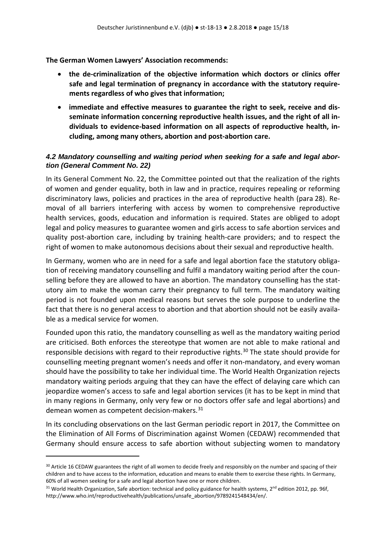- **the de-criminalization of the objective information which doctors or clinics offer safe and legal termination of pregnancy in accordance with the statutory requirements regardless of who gives that information;**
- **immediate and effective measures to guarantee the right to seek, receive and disseminate information concerning reproductive health issues, and the right of all individuals to evidence-based information on all aspects of reproductive health, including, among many others, abortion and post-abortion care.**

### <span id="page-14-0"></span>*4.2 Mandatory counselling and waiting period when seeking for a safe and legal abortion (General Comment No. 22)*

In its General Comment No. 22, the Committee pointed out that the realization of the rights of women and gender equality, both in law and in practice, requires repealing or reforming discriminatory laws, policies and practices in the area of reproductive health (para 28). Removal of all barriers interfering with access by women to comprehensive reproductive health services, goods, education and information is required. States are obliged to adopt legal and policy measures to guarantee women and girls access to safe abortion services and quality post-abortion care, including by training health-care providers; and to respect the right of women to make autonomous decisions about their sexual and reproductive health.

In Germany, women who are in need for a safe and legal abortion face the statutory obligation of receiving mandatory counselling and fulfil a mandatory waiting period after the counselling before they are allowed to have an abortion. The mandatory counselling has the statutory aim to make the woman carry their pregnancy to full term. The mandatory waiting period is not founded upon medical reasons but serves the sole purpose to underline the fact that there is no general access to abortion and that abortion should not be easily available as a medical service for women.

Founded upon this ratio, the mandatory counselling as well as the mandatory waiting period are criticised. Both enforces the stereotype that women are not able to make rational and responsible decisions with regard to their reproductive rights.<sup>[30](#page-14-1)</sup> The state should provide for counselling meeting pregnant women's needs and offer it non-mandatory, and every woman should have the possibility to take her individual time. The World Health Organization rejects mandatory waiting periods arguing that they can have the effect of delaying care which can jeopardize women's access to safe and legal abortion services (it has to be kept in mind that in many regions in Germany, only very few or no doctors offer safe and legal abortions) and demean women as competent decision-makers.<sup>31</sup>

In its concluding observations on the last German periodic report in 2017, the Committee on the Elimination of All Forms of Discrimination against Women (CEDAW) recommended that Germany should ensure access to safe abortion without subjecting women to mandatory

<span id="page-14-1"></span><sup>&</sup>lt;sup>30</sup> Article 16 CEDAW guarantees the right of all women to decide freely and responsibly on the number and spacing of their children and to have access to the information, education and means to enable them to exercise these rights. In Germany, 60% of all women seeking for a safe and legal abortion have one or more children.

<span id="page-14-2"></span> $31$  World Health Organization, Safe abortion: technical and policy guidance for health systems,  $2^{nd}$  edition 2012, pp. 96f, [http://www.who.int/reproductivehealth/publications/unsafe\\_abortion/9789241548434/en/.](http://www.who.int/reproductivehealth/publications/unsafe_abortion/9789241548434/en/)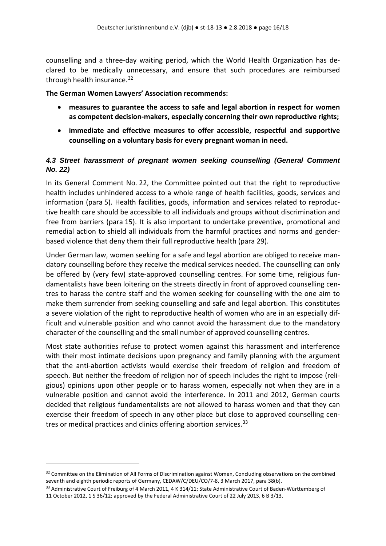counselling and a three-day waiting period, which the World Health Organization has declared to be medically unnecessary, and ensure that such procedures are reimbursed through health insurance. $32$ 

#### **The German Women Lawyers' Association recommends:**

- **measures to guarantee the access to safe and legal abortion in respect for women as competent decision-makers, especially concerning their own reproductive rights;**
- **immediate and effective measures to offer accessible, respectful and supportive counselling on a voluntary basis for every pregnant woman in need.**

### <span id="page-15-0"></span>*4.3 Street harassment of pregnant women seeking counselling (General Comment No. 22)*

In its General Comment No. 22, the Committee pointed out that the right to reproductive health includes unhindered access to a whole range of health facilities, goods, services and information (para 5). Health facilities, goods, information and services related to reproductive health care should be accessible to all individuals and groups without discrimination and free from barriers (para 15). It is also important to undertake preventive, promotional and remedial action to shield all individuals from the harmful practices and norms and genderbased violence that deny them their full reproductive health (para 29).

Under German law, women seeking for a safe and legal abortion are obliged to receive mandatory counselling before they receive the medical services needed. The counselling can only be offered by (very few) state-approved counselling centres. For some time, religious fundamentalists have been loitering on the streets directly in front of approved counselling centres to harass the centre staff and the women seeking for counselling with the one aim to make them surrender from seeking counselling and safe and legal abortion. This constitutes a severe violation of the right to reproductive health of women who are in an especially difficult and vulnerable position and who cannot avoid the harassment due to the mandatory character of the counselling and the small number of approved counselling centres.

Most state authorities refuse to protect women against this harassment and interference with their most intimate decisions upon pregnancy and family planning with the argument that the anti-abortion activists would exercise their freedom of religion and freedom of speech. But neither the freedom of religion nor of speech includes the right to impose (religious) opinions upon other people or to harass women, especially not when they are in a vulnerable position and cannot avoid the interference. In 2011 and 2012, German courts decided that religious fundamentalists are not allowed to harass women and that they can exercise their freedom of speech in any other place but close to approved counselling cen-tres or medical practices and clinics offering abortion services.<sup>[33](#page-15-2)</sup>

<span id="page-15-1"></span><sup>&</sup>lt;sup>32</sup> Committee on the Elimination of All Forms of Discrimination against Women, Concluding observations on the combined seventh and eighth periodic reports of Germany, CEDAW/C/DEU/CO/7-8, 3 March 2017, para 38(b).

<span id="page-15-2"></span><sup>33</sup> Administrative Court of Freiburg of 4 March 2011, 4 K 314/11; State Administrative Court of Baden-Württemberg of 11 October 2012, 1 S 36/12; approved by the Federal Administrative Court of 22 July 2013, 6 B 3/13.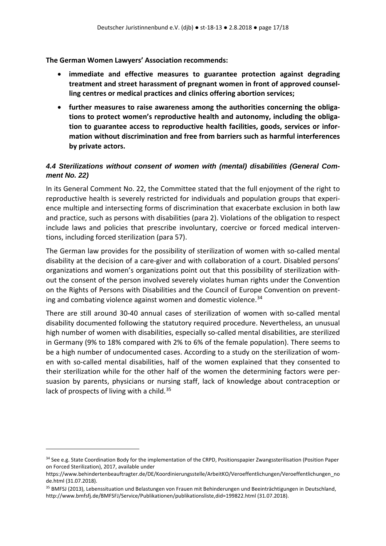- **immediate and effective measures to guarantee protection against degrading treatment and street harassment of pregnant women in front of approved counselling centres or medical practices and clinics offering abortion services;**
- **further measures to raise awareness among the authorities concerning the obligations to protect women's reproductive health and autonomy, including the obligation to guarantee access to reproductive health facilities, goods, services or information without discrimination and free from barriers such as harmful interferences by private actors.**

### <span id="page-16-0"></span>*4.4 Sterilizations without consent of women with (mental) disabilities (General Comment No. 22)*

In its General Comment No. 22, the Committee stated that the full enjoyment of the right to reproductive health is severely restricted for individuals and population groups that experience multiple and intersecting forms of discrimination that exacerbate exclusion in both law and practice, such as persons with disabilities (para 2). Violations of the obligation to respect include laws and policies that prescribe involuntary, coercive or forced medical interventions, including forced sterilization (para 57).

The German law provides for the possibility of sterilization of women with so-called mental disability at the decision of a care-giver and with collaboration of a court. Disabled persons' organizations and women's organizations point out that this possibility of sterilization without the consent of the person involved severely violates human rights under the Convention on the Rights of Persons with Disabilities and the Council of Europe Convention on prevent-ing and combating violence against women and domestic violence.<sup>[34](#page-16-1)</sup>

There are still around 30-40 annual cases of sterilization of women with so-called mental disability documented following the statutory required procedure. Nevertheless, an unusual high number of women with disabilities, especially so-called mental disabilities, are sterilized in Germany (9% to 18% compared with 2% to 6% of the female population). There seems to be a high number of undocumented cases. According to a study on the sterilization of women with so-called mental disabilities, half of the women explained that they consented to their sterilization while for the other half of the women the determining factors were persuasion by parents, physicians or nursing staff, lack of knowledge about contraception or lack of prospects of living with a child. $35$ 

<span id="page-16-1"></span><sup>34</sup> See e.g. State Coordination Body for the implementation of the CRPD, Positionspapier Zwangssterilisation (Position Paper on Forced Sterilization), 2017, available under

[https://www.behindertenbeauftragter.de/DE/Koordinierungsstelle/ArbeitKO/Veroeffentlichungen/Veroeffentlichungen\\_no](https://www.behindertenbeauftragter.de/DE/Koordinierungsstelle/ArbeitKO/Veroeffentlichungen/Veroeffentlichungen_node.html) [de.html](https://www.behindertenbeauftragter.de/DE/Koordinierungsstelle/ArbeitKO/Veroeffentlichungen/Veroeffentlichungen_node.html) (31.07.2018).

<span id="page-16-2"></span><sup>35</sup> BMFSJ (2013), Lebenssituation und Belastungen von Frauen mit Behinderungen und Beeinträchtigungen in Deutschland, <http://www.bmfsfj.de/BMFSFJ/Service/Publikationen/publikationsliste,did=199822.html> (31.07.2018).